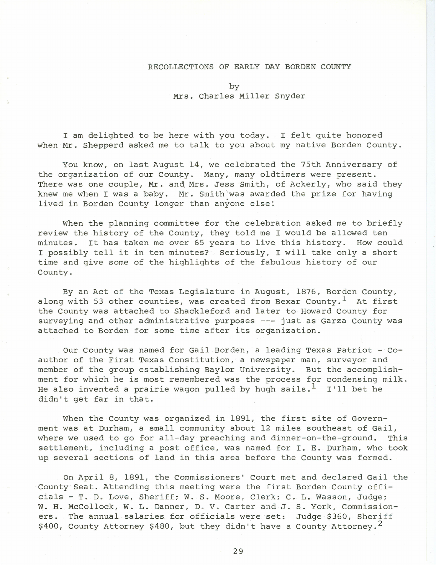## RECOLLECTIONS OF EARLY DAY BORDEN COUNTY

by Mrs. Charles Miller Snyder

I am delighted to be here with you today. I felt quite honored when Mr. Shepperd asked me to talk to you about my native Borden County.

You know, on last August 14, we celebrated the 75th Anniversary of the organization of our County. Many, many oldtimers were present. There was one couple, Mr. and Mrs. Jess Smith, of Ackerly, who said they knew me when I was a baby. Mr. Smith'was awarded the prize for having lived in Borden County longer than anyone else! .

When the planning committee for the celebration asked me to briefly review the history of the County, they told me I would be allowed ten minutes. It has taken me over 65 years to live this history. How could I possibly tell it in ten minutes? Seriously, I will take only a short time and give some of the highlights of the fabulous history of our County.

By an Act of the Texas Legislature in August, 1876, Borden County, along with 53 other counties, was created from Bexar County.<sup>1</sup> At first the County was attached to Shackleford and later to Howard County for surveying and other administrative purposes --- just as Garza County was attached to Borden for some time after its organization.

Our County was named for Gail Borden, a leading Texas Patriot - Coauthor of the First Texas Constitution, a newspaper man, surveyor and member of the group establishing Baylor University. But the accomplishment for which he is most remembered was the process for condensing milk. He also invented a prairie wagon pulled by hugh sails.  $^1$  I'll bet he didn't get far in that.

When the County was organized in 1891, the first site of Government was at Durham, a small community about 12 miles southeast of Gail, where we used to go for all-day preaching and dinner-on-the-ground. This settlement, including a post office, was named for I. E. Durham, who took up several sections of land in this area before the County was formed.

On April 8, 1891, the Commissioners' Court met and declared Gail the County Seat. Attending this meeting were the first Borden County officials - T. D. Love, Sheriff; W. S. Moore, Clerk; C. L. Wasson, Judge; W. H. McCollock, W. L. Danner, D. V. Carter and J. S. York, Commissioners. The annual salaries for officials were set: Judge \$360, Sheriff \$400, County Attorney \$480, but they didn't have a County Attorney.<sup>2</sup>